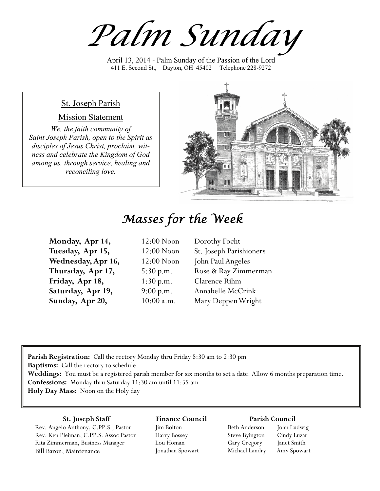*Palm Sunday*

April 13, 2014 - Palm Sunday of the Passion of the Lord 411 E. Second St., Dayton, OH 45402 Telephone 228-9272

### St. Joseph Parish

#### Mission Statement

*We, the faith community of Saint Joseph Parish, open to the Spirit as disciples of Jesus Christ, proclaim, witness and celebrate the Kingdom of God among us, through service, healing and reconciling love.*



# *Masses for the Week*

| Monday, Apr 14,    | 12:00 Noon |
|--------------------|------------|
| Tuesday, Apr 15,   | 12:00 Noon |
| Wednesday, Apr 16, | 12:00 Noon |
| Thursday, Apr 17,  | 5:30 p.m.  |
| Friday, Apr 18,    | 1:30 p.m.  |
| Saturday, Apr 19,  | 9:00 p.m.  |
| Sunday, Apr 20,    | 10:00 a.m. |

Dorothy Focht St. Joseph Parishioners John Paul Angeles Rose & Ray Zimmerman Clarence Rihm Annabelle McCrink Mary Deppen Wright

**Parish Registration:** Call the rectory Monday thru Friday 8:30 am to 2:30 pm **Baptisms:** Call the rectory to schedule **Weddings:** You must be a registered parish member for six months to set a date. Allow 6 months preparation time. **Confessions:** Monday thru Saturday 11:30 am until 11:55 am **Holy Day Mass:** Noon on the Holy day

#### **St. Joseph Staff**

Rev. Angelo Anthony, C.PP.S., Pastor Rev. Ken Pleiman, C.PP.S. Assoc Pastor Rita Zimmerman, Business Manager Bill Baron, Maintenance

#### **Finance Council** Jim Bolton

Harry Bossey Lou Homan Jonathan Spowart

#### **Parish Council**

Beth Anderson John Ludwig Steve Byington Cindy Luzar Gary Gregory Janet Smith Michael Landry Amy Spowart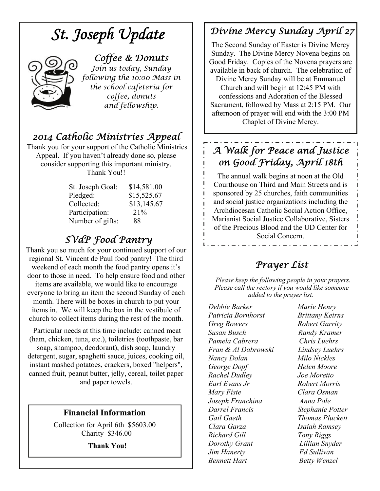# *St. Joseph Update*



#### *Coffee & Donuts*

*Join us today, Sunday following the 10:00 Mass in the school cafeteria for coffee, donuts and fellowship.* 

# *2014 Catholic Ministries Appeal*

 Thank you for your support of the Catholic Ministries Appeal. If you haven't already done so, please consider supporting this important ministry. Thank You!!

| St. Joseph Goal: | \$14,581.00 |
|------------------|-------------|
| Pledged:         | \$15,525.67 |
| Collected:       | \$13,145.67 |
| Participation:   | 21%         |
| Number of gifts: | 88          |

### *SVdP Food Pantry*

Thank you so much for your continued support of our regional St. Vincent de Paul food pantry! The third weekend of each month the food pantry opens it's door to those in need. To help ensure food and other items are available, we would like to encourage everyone to bring an item the second Sunday of each month. There will be boxes in church to put your items in. We will keep the box in the vestibule of church to collect items during the rest of the month.

 Particular needs at this time include: canned meat (ham, chicken, tuna, etc.), toiletries (toothpaste, bar soap, shampoo, deodorant), dish soap, laundry detergent, sugar, spaghetti sauce, juices, cooking oil, instant mashed potatoes, crackers, boxed "helpers", canned fruit, peanut butter, jelly, cereal, toilet paper and paper towels.

#### **Financial Information**

Collection for April 6th \$5603.00 Charity \$346.00

 **Thank You!** 

# *Divine Mercy Sunday April 27*

The Second Sunday of Easter is Divine Mercy Sunday. The Divine Mercy Novena begins on Good Friday. Copies of the Novena prayers are available in back of church. The celebration of

Divine Mercy Sunday will be at Emmanuel Church and will begin at 12:45 PM with confessions and Adoration of the Blessed Sacrament, followed by Mass at 2:15 PM. Our afternoon of prayer will end with the 3:00 PM Chaplet of Divine Mercy.

# *A Walk for Peace and Justice on Good Friday, April 18th*

The annual walk begins at noon at the Old Courthouse on Third and Main Streets and is sponsored by 25 churches, faith communities and social justice organizations including the Archdiocesan Catholic Social Action Office, Marianist Social Justice Collaborative, Sisters of the Precious Blood and the UD Center for Social Concern.

## *Prayer List*

 *Please keep the following people in your prayers. Please call the rectory if you would like someone added to the prayer list.* 

*Debbie Barker Marie Henry Patricia Bornhorst Brittany Keirns Greg Bowers Robert Garrity Susan Busch Randy Kramer Pamela Cabrera Chris Luehrs Fran & Al Dabrowski Lindsey Luehrs Nancy Dolan Milo Nickles George Dopf Helen Moore Rachel Dudley Joe Moretto Earl Evans Jr Robert Morris Mary Fiste Clara Osman Joseph Franchina Anna Pole Darrel Francis Stephanie Potter Gail Gaeth Thomas Pluckett Clara Garza Isaiah Ramsey Richard Gill Tony Riggs Dorothy Grant Lillian Snyder Jim Hanerty Ed Sullivan Bennett Hart* **Betty Wenzel**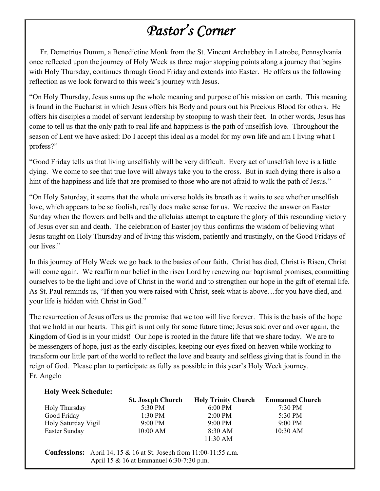# *Pastor's Corner*

 Fr. Demetrius Dumm, a Benedictine Monk from the St. Vincent Archabbey in Latrobe, Pennsylvania once reflected upon the journey of Holy Week as three major stopping points along a journey that begins with Holy Thursday, continues through Good Friday and extends into Easter. He offers us the following reflection as we look forward to this week's journey with Jesus.

"On Holy Thursday, Jesus sums up the whole meaning and purpose of his mission on earth. This meaning is found in the Eucharist in which Jesus offers his Body and pours out his Precious Blood for others. He offers his disciples a model of servant leadership by stooping to wash their feet. In other words, Jesus has come to tell us that the only path to real life and happiness is the path of unselfish love. Throughout the season of Lent we have asked: Do I accept this ideal as a model for my own life and am I living what I profess?"

"Good Friday tells us that living unselfishly will be very difficult. Every act of unselfish love is a little dying. We come to see that true love will always take you to the cross. But in such dying there is also a hint of the happiness and life that are promised to those who are not afraid to walk the path of Jesus."

"On Holy Saturday, it seems that the whole universe holds its breath as it waits to see whether unselfish love, which appears to be so foolish, really does make sense for us. We receive the answer on Easter Sunday when the flowers and bells and the alleluias attempt to capture the glory of this resounding victory of Jesus over sin and death. The celebration of Easter joy thus confirms the wisdom of believing what Jesus taught on Holy Thursday and of living this wisdom, patiently and trustingly, on the Good Fridays of our lives."

In this journey of Holy Week we go back to the basics of our faith. Christ has died, Christ is Risen, Christ will come again. We reaffirm our belief in the risen Lord by renewing our baptismal promises, committing ourselves to be the light and love of Christ in the world and to strengthen our hope in the gift of eternal life. As St. Paul reminds us, "If then you were raised with Christ, seek what is above…for you have died, and your life is hidden with Christ in God."

The resurrection of Jesus offers us the promise that we too will live forever. This is the basis of the hope that we hold in our hearts. This gift is not only for some future time; Jesus said over and over again, the Kingdom of God is in your midst! Our hope is rooted in the future life that we share today. We are to be messengers of hope, just as the early disciples, keeping our eyes fixed on heaven while working to transform our little part of the world to reflect the love and beauty and selfless giving that is found in the reign of God. Please plan to participate as fully as possible in this year's Holy Week journey. Fr. Angelo

#### **Holy Week Schedule:**

|                     | <b>St. Joseph Church</b> | <b>Holy Trinity Church</b> | <b>Emmanuel Church</b> |
|---------------------|--------------------------|----------------------------|------------------------|
| Holy Thursday       | 5:30 PM                  | $6:00$ PM                  | $7:30 \text{ PM}$      |
| Good Friday         | $1:30$ PM                | $2:00 \text{ PM}$          | 5:30 PM                |
| Holy Saturday Vigil | $9:00 \text{ PM}$        | $9:00 \text{ PM}$          | $9:00 \text{ PM}$      |
| Easter Sunday       | $10:00$ AM               | 8:30 AM                    | 10:30 AM               |
|                     |                          | $11:30$ AM                 |                        |

 **Confessions:** April 14, 15 & 16 at St. Joseph from 11:00-11:55 a.m. April 15 & 16 at Emmanuel 6:30-7:30 p.m.